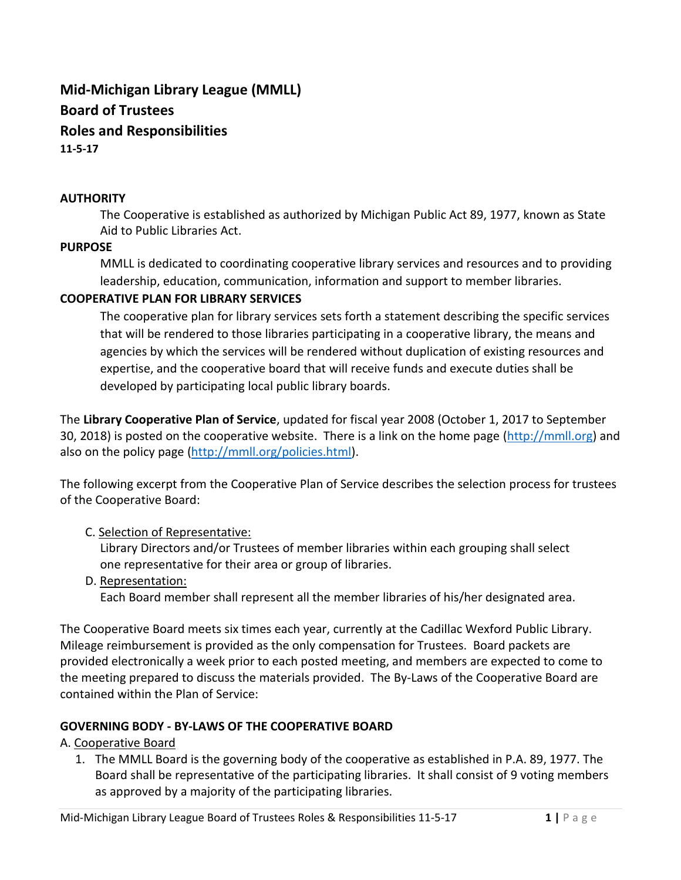# **Mid-Michigan Library League (MMLL) Board of Trustees Roles and Responsibilities 11-5-17**

#### **AUTHORITY**

The Cooperative is established as authorized by Michigan Public Act 89, 1977, known as State Aid to Public Libraries Act.

#### **PURPOSE**

MMLL is dedicated to coordinating cooperative library services and resources and to providing leadership, education, communication, information and support to member libraries.

### **COOPERATIVE PLAN FOR LIBRARY SERVICES**

The cooperative plan for library services sets forth a statement describing the specific services that will be rendered to those libraries participating in a cooperative library, the means and agencies by which the services will be rendered without duplication of existing resources and expertise, and the cooperative board that will receive funds and execute duties shall be developed by participating local public library boards.

The **Library Cooperative Plan of Service**, updated for fiscal year 2008 (October 1, 2017 to September 30, 2018) is posted on the cooperative website. There is a link on the home page [\(http://mmll.org\)](http://mmll.org/) and also on the policy page [\(http://mmll.org/policies.html\)](http://mmll.org/policies.html).

The following excerpt from the Cooperative Plan of Service describes the selection process for trustees of the Cooperative Board:

### C. Selection of Representative:

Library Directors and/or Trustees of member libraries within each grouping shall select one representative for their area or group of libraries.

D. Representation:

Each Board member shall represent all the member libraries of his/her designated area.

The Cooperative Board meets six times each year, currently at the Cadillac Wexford Public Library. Mileage reimbursement is provided as the only compensation for Trustees. Board packets are provided electronically a week prior to each posted meeting, and members are expected to come to the meeting prepared to discuss the materials provided. The By-Laws of the Cooperative Board are contained within the Plan of Service:

### **GOVERNING BODY - BY-LAWS OF THE COOPERATIVE BOARD**

A. Cooperative Board

1. The MMLL Board is the governing body of the cooperative as established in P.A. 89, 1977. The Board shall be representative of the participating libraries. It shall consist of 9 voting members as approved by a majority of the participating libraries.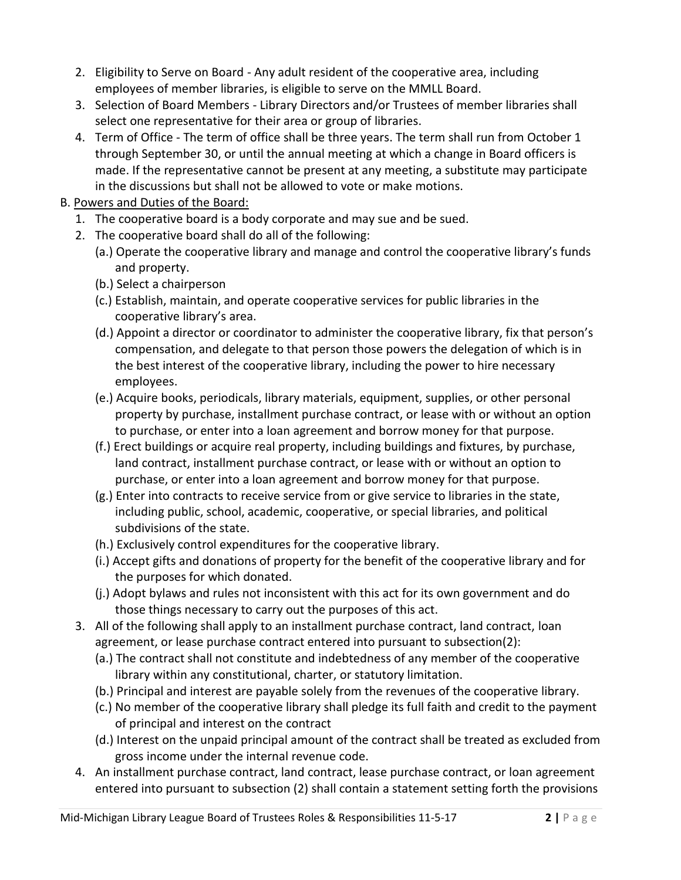- 2. Eligibility to Serve on Board Any adult resident of the cooperative area, including employees of member libraries, is eligible to serve on the MMLL Board.
- 3. Selection of Board Members Library Directors and/or Trustees of member libraries shall select one representative for their area or group of libraries.
- 4. Term of Office The term of office shall be three years. The term shall run from October 1 through September 30, or until the annual meeting at which a change in Board officers is made. If the representative cannot be present at any meeting, a substitute may participate in the discussions but shall not be allowed to vote or make motions.
- B. Powers and Duties of the Board:
	- 1. The cooperative board is a body corporate and may sue and be sued.
	- 2. The cooperative board shall do all of the following:
		- (a.) Operate the cooperative library and manage and control the cooperative library's funds and property.
		- (b.) Select a chairperson
		- (c.) Establish, maintain, and operate cooperative services for public libraries in the cooperative library's area.
		- (d.) Appoint a director or coordinator to administer the cooperative library, fix that person's compensation, and delegate to that person those powers the delegation of which is in the best interest of the cooperative library, including the power to hire necessary employees.
		- (e.) Acquire books, periodicals, library materials, equipment, supplies, or other personal property by purchase, installment purchase contract, or lease with or without an option to purchase, or enter into a loan agreement and borrow money for that purpose.
		- (f.) Erect buildings or acquire real property, including buildings and fixtures, by purchase, land contract, installment purchase contract, or lease with or without an option to purchase, or enter into a loan agreement and borrow money for that purpose.
		- (g.) Enter into contracts to receive service from or give service to libraries in the state, including public, school, academic, cooperative, or special libraries, and political subdivisions of the state.
		- (h.) Exclusively control expenditures for the cooperative library.
		- (i.) Accept gifts and donations of property for the benefit of the cooperative library and for the purposes for which donated.
		- (j.) Adopt bylaws and rules not inconsistent with this act for its own government and do those things necessary to carry out the purposes of this act.
	- 3. All of the following shall apply to an installment purchase contract, land contract, loan agreement, or lease purchase contract entered into pursuant to subsection(2):
		- (a.) The contract shall not constitute and indebtedness of any member of the cooperative library within any constitutional, charter, or statutory limitation.
		- (b.) Principal and interest are payable solely from the revenues of the cooperative library.
		- (c.) No member of the cooperative library shall pledge its full faith and credit to the payment of principal and interest on the contract
		- (d.) Interest on the unpaid principal amount of the contract shall be treated as excluded from gross income under the internal revenue code.
	- 4. An installment purchase contract, land contract, lease purchase contract, or loan agreement entered into pursuant to subsection (2) shall contain a statement setting forth the provisions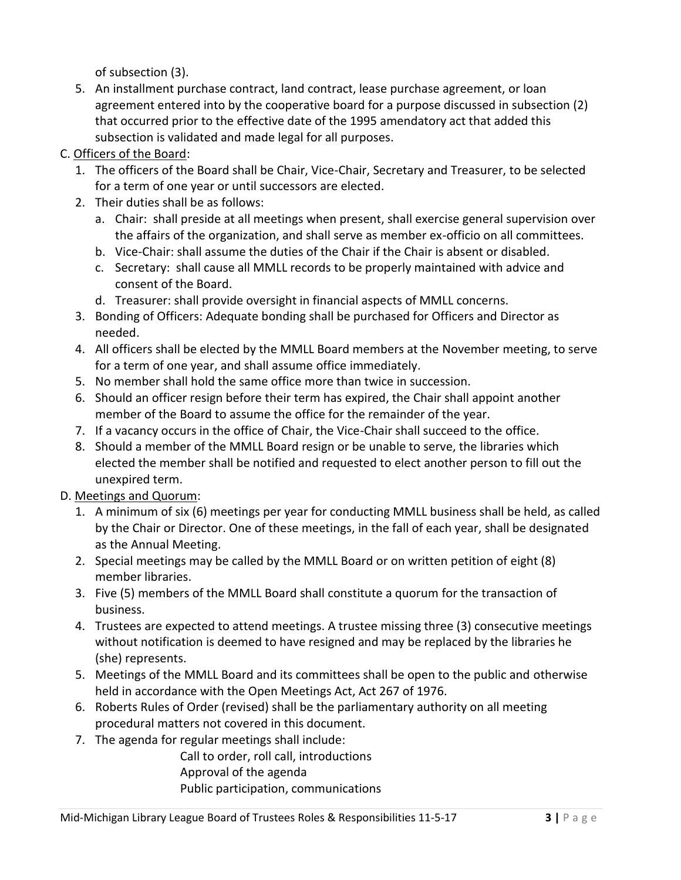of subsection (3).

- 5. An installment purchase contract, land contract, lease purchase agreement, or loan agreement entered into by the cooperative board for a purpose discussed in subsection (2) that occurred prior to the effective date of the 1995 amendatory act that added this subsection is validated and made legal for all purposes.
- C. Officers of the Board:
	- 1. The officers of the Board shall be Chair, Vice-Chair, Secretary and Treasurer, to be selected for a term of one year or until successors are elected.
	- 2. Their duties shall be as follows:
		- a. Chair: shall preside at all meetings when present, shall exercise general supervision over the affairs of the organization, and shall serve as member ex-officio on all committees.
		- b. Vice-Chair: shall assume the duties of the Chair if the Chair is absent or disabled.
		- c. Secretary: shall cause all MMLL records to be properly maintained with advice and consent of the Board.
		- d. Treasurer: shall provide oversight in financial aspects of MMLL concerns.
	- 3. Bonding of Officers: Adequate bonding shall be purchased for Officers and Director as needed.
	- 4. All officers shall be elected by the MMLL Board members at the November meeting, to serve for a term of one year, and shall assume office immediately.
	- 5. No member shall hold the same office more than twice in succession.
	- 6. Should an officer resign before their term has expired, the Chair shall appoint another member of the Board to assume the office for the remainder of the year.
	- 7. If a vacancy occurs in the office of Chair, the Vice-Chair shall succeed to the office.
	- 8. Should a member of the MMLL Board resign or be unable to serve, the libraries which elected the member shall be notified and requested to elect another person to fill out the unexpired term.
- D. Meetings and Quorum:
	- 1. A minimum of six (6) meetings per year for conducting MMLL business shall be held, as called by the Chair or Director. One of these meetings, in the fall of each year, shall be designated as the Annual Meeting.
	- 2. Special meetings may be called by the MMLL Board or on written petition of eight (8) member libraries.
	- 3. Five (5) members of the MMLL Board shall constitute a quorum for the transaction of business.
	- 4. Trustees are expected to attend meetings. A trustee missing three (3) consecutive meetings without notification is deemed to have resigned and may be replaced by the libraries he (she) represents.
	- 5. Meetings of the MMLL Board and its committees shall be open to the public and otherwise held in accordance with the Open Meetings Act, Act 267 of 1976.
	- 6. Roberts Rules of Order (revised) shall be the parliamentary authority on all meeting procedural matters not covered in this document.
	- 7. The agenda for regular meetings shall include:

Call to order, roll call, introductions Approval of the agenda Public participation, communications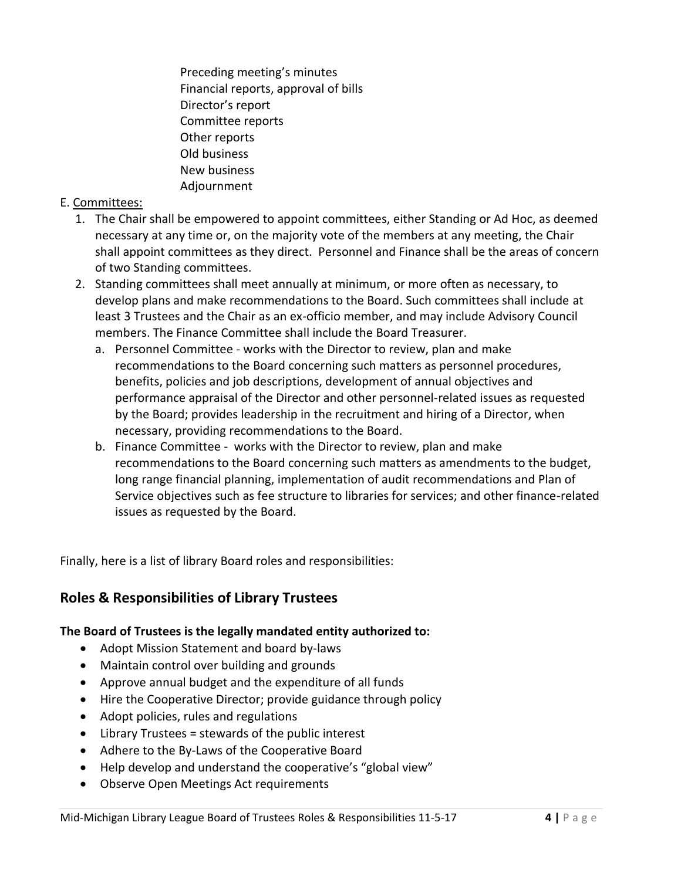Preceding meeting's minutes Financial reports, approval of bills Director's report Committee reports Other reports Old business New business Adjournment

### E. Committees:

- 1. The Chair shall be empowered to appoint committees, either Standing or Ad Hoc, as deemed necessary at any time or, on the majority vote of the members at any meeting, the Chair shall appoint committees as they direct. Personnel and Finance shall be the areas of concern of two Standing committees.
- 2. Standing committees shall meet annually at minimum, or more often as necessary, to develop plans and make recommendations to the Board. Such committees shall include at least 3 Trustees and the Chair as an ex-officio member, and may include Advisory Council members. The Finance Committee shall include the Board Treasurer.
	- a. Personnel Committee works with the Director to review, plan and make recommendations to the Board concerning such matters as personnel procedures, benefits, policies and job descriptions, development of annual objectives and performance appraisal of the Director and other personnel-related issues as requested by the Board; provides leadership in the recruitment and hiring of a Director, when necessary, providing recommendations to the Board.
	- b. Finance Committee works with the Director to review, plan and make recommendations to the Board concerning such matters as amendments to the budget, long range financial planning, implementation of audit recommendations and Plan of Service objectives such as fee structure to libraries for services; and other finance-related issues as requested by the Board.

Finally, here is a list of library Board roles and responsibilities:

## **Roles & Responsibilities of Library Trustees**

### **The Board of Trustees is the legally mandated entity authorized to:**

- Adopt Mission Statement and board by-laws
- Maintain control over building and grounds
- Approve annual budget and the expenditure of all funds
- Hire the Cooperative Director; provide guidance through policy
- Adopt policies, rules and regulations
- Library Trustees = stewards of the public interest
- Adhere to the By-Laws of the Cooperative Board
- Help develop and understand the cooperative's "global view"
- Observe Open Meetings Act requirements